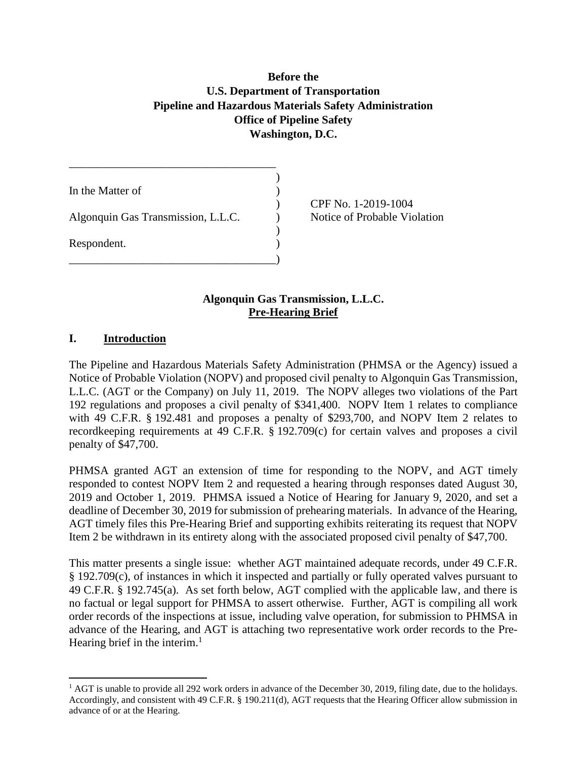# **Before the U.S. Department of Transportation Pipeline and Hazardous Materials Safety Administration Office of Pipeline Safety Washington, D.C.**

)

| Algonquin Gas Transmission, L.L.C.<br>Respondent. | In the Matter of |  |
|---------------------------------------------------|------------------|--|
|                                                   |                  |  |
|                                                   |                  |  |

\_\_\_\_\_\_\_\_\_\_\_\_\_\_\_\_\_\_\_\_\_\_\_\_\_\_\_\_\_\_\_\_\_\_\_\_

) CPF No. 1-2019-1004 Notice of Probable Violation

### **Algonquin Gas Transmission, L.L.C. Pre-Hearing Brief**

### **I. Introduction**

l

The Pipeline and Hazardous Materials Safety Administration (PHMSA or the Agency) issued a Notice of Probable Violation (NOPV) and proposed civil penalty to Algonquin Gas Transmission, L.L.C. (AGT or the Company) on July 11, 2019. The NOPV alleges two violations of the Part 192 regulations and proposes a civil penalty of \$341,400. NOPV Item 1 relates to compliance with 49 C.F.R. § 192.481 and proposes a penalty of \$293,700, and NOPV Item 2 relates to recordkeeping requirements at 49 C.F.R. § 192.709(c) for certain valves and proposes a civil penalty of \$47,700.

PHMSA granted AGT an extension of time for responding to the NOPV, and AGT timely responded to contest NOPV Item 2 and requested a hearing through responses dated August 30, 2019 and October 1, 2019. PHMSA issued a Notice of Hearing for January 9, 2020, and set a deadline of December 30, 2019 for submission of prehearing materials. In advance of the Hearing, AGT timely files this Pre-Hearing Brief and supporting exhibits reiterating its request that NOPV Item 2 be withdrawn in its entirety along with the associated proposed civil penalty of \$47,700.

This matter presents a single issue: whether AGT maintained adequate records, under 49 C.F.R. § 192.709(c), of instances in which it inspected and partially or fully operated valves pursuant to 49 C.F.R. § 192.745(a). As set forth below, AGT complied with the applicable law, and there is no factual or legal support for PHMSA to assert otherwise. Further, AGT is compiling all work order records of the inspections at issue, including valve operation, for submission to PHMSA in advance of the Hearing, and AGT is attaching two representative work order records to the Pre-Hearing brief in the interim.<sup>1</sup>

 $<sup>1</sup>$  AGT is unable to provide all 292 work orders in advance of the December 30, 2019, filing date, due to the holidays.</sup> Accordingly, and consistent with 49 C.F.R. § 190.211(d), AGT requests that the Hearing Officer allow submission in advance of or at the Hearing.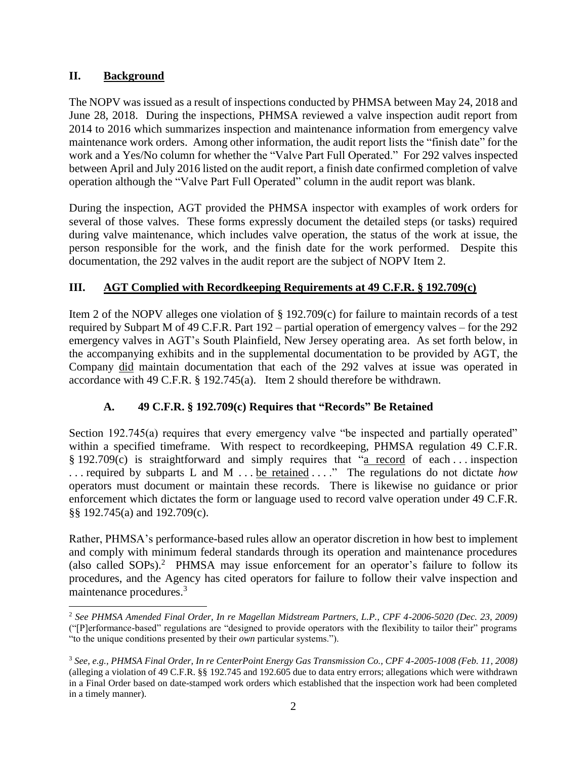### **II. Background**

l

The NOPV was issued as a result of inspections conducted by PHMSA between May 24, 2018 and June 28, 2018. During the inspections, PHMSA reviewed a valve inspection audit report from 2014 to 2016 which summarizes inspection and maintenance information from emergency valve maintenance work orders. Among other information, the audit report lists the "finish date" for the work and a Yes/No column for whether the "Valve Part Full Operated." For 292 valves inspected between April and July 2016 listed on the audit report, a finish date confirmed completion of valve operation although the "Valve Part Full Operated" column in the audit report was blank.

During the inspection, AGT provided the PHMSA inspector with examples of work orders for several of those valves. These forms expressly document the detailed steps (or tasks) required during valve maintenance, which includes valve operation, the status of the work at issue, the person responsible for the work, and the finish date for the work performed. Despite this documentation, the 292 valves in the audit report are the subject of NOPV Item 2.

# **III. AGT Complied with Recordkeeping Requirements at 49 C.F.R. § 192.709(c)**

Item 2 of the NOPV alleges one violation of § 192.709(c) for failure to maintain records of a test required by Subpart M of 49 C.F.R. Part 192 – partial operation of emergency valves – for the 292 emergency valves in AGT's South Plainfield, New Jersey operating area. As set forth below, in the accompanying exhibits and in the supplemental documentation to be provided by AGT, the Company did maintain documentation that each of the 292 valves at issue was operated in accordance with 49 C.F.R. § 192.745(a). Item 2 should therefore be withdrawn.

# **A. 49 C.F.R. § 192.709(c) Requires that "Records" Be Retained**

Section 192.745(a) requires that every emergency valve "be inspected and partially operated" within a specified timeframe. With respect to recordkeeping, PHMSA regulation 49 C.F.R. § 192.709(c) is straightforward and simply requires that "a record of each . . . inspection . . . required by subparts L and M . . . be retained . . . ." The regulations do not dictate *how* operators must document or maintain these records. There is likewise no guidance or prior enforcement which dictates the form or language used to record valve operation under 49 C.F.R. §§ 192.745(a) and 192.709(c).

Rather, PHMSA's performance-based rules allow an operator discretion in how best to implement and comply with minimum federal standards through its operation and maintenance procedures (also called SOPs).<sup>2</sup> PHMSA may issue enforcement for an operator's failure to follow its procedures, and the Agency has cited operators for failure to follow their valve inspection and maintenance procedures.<sup>3</sup>

<sup>2</sup> *See PHMSA Amended Final Order, In re Magellan Midstream Partners, L.P., CPF 4-2006-5020 (Dec. 23, 2009)*  ("[P]erformance-based" regulations are "designed to provide operators with the flexibility to tailor their" programs "to the unique conditions presented by their *own* particular systems.").

<sup>3</sup> *See, e.g., PHMSA Final Order, In re CenterPoint Energy Gas Transmission Co., CPF 4-2005-1008 (Feb. 11, 2008)* (alleging a violation of 49 C.F.R. §§ 192.745 and 192.605 due to data entry errors; allegations which were withdrawn in a Final Order based on date-stamped work orders which established that the inspection work had been completed in a timely manner).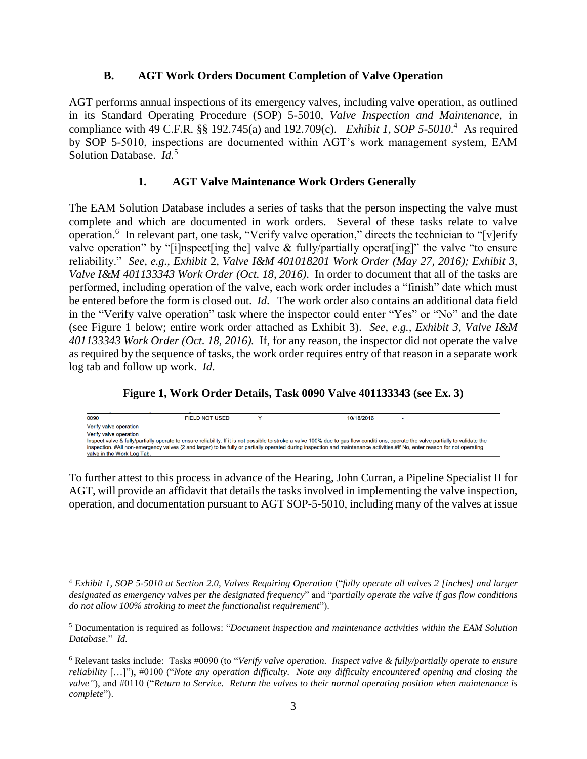#### **B. AGT Work Orders Document Completion of Valve Operation**

AGT performs annual inspections of its emergency valves, including valve operation, as outlined in its Standard Operating Procedure (SOP) 5-5010, *Valve Inspection and Maintenance*, in compliance with 49 C.F.R. §§ 192.745(a) and 192.709(c). *Exhibit 1, SOP 5-5010*.<sup>4</sup> As required by SOP 5-5010, inspections are documented within AGT's work management system, EAM Solution Database. *Id.*<sup>5</sup>

### **1. AGT Valve Maintenance Work Orders Generally**

The EAM Solution Database includes a series of tasks that the person inspecting the valve must complete and which are documented in work orders. Several of these tasks relate to valve operation.<sup>6</sup> In relevant part, one task, "Verify valve operation," directs the technician to "[v]erify valve operation" by "[i]nspect[ing the] valve & fully/partially operat[ing]" the valve "to ensure reliability." *See, e.g., Exhibit* 2*, Valve I&M 401018201 Work Order (May 27, 2016); Exhibit 3, Valve I&M 401133343 Work Order (Oct. 18, 2016)*. In order to document that all of the tasks are performed, including operation of the valve, each work order includes a "finish" date which must be entered before the form is closed out. *Id*. The work order also contains an additional data field in the "Verify valve operation" task where the inspector could enter "Yes" or "No" and the date (see Figure 1 below; entire work order attached as Exhibit 3). *See, e.g., Exhibit 3, Valve I&M 401133343 Work Order (Oct. 18, 2016).* If, for any reason, the inspector did not operate the valve as required by the sequence of tasks, the work order requires entry of that reason in a separate work log tab and follow up work. *Id*.

### **Figure 1, Work Order Details, Task 0090 Valve 401133343 (see Ex. 3)**

0090 **FIELD NOT USED** 10/18/2016 Verify valve operation Verify valve operation Inspect valve & fully/partially operate to ensure reliability. If it is not possible to stroke a valve 100% due to gas flow conditi ons, operate the valve partially to validate the inspection. #All non-emergency valves (2 and larger) to be fully or partially operated during inspection and maintenance activities #If No, enter reason for not operating valve in the Work Log Tab.

To further attest to this process in advance of the Hearing, John Curran, a Pipeline Specialist II for AGT, will provide an affidavit that details the tasks involved in implementing the valve inspection, operation, and documentation pursuant to AGT SOP-5-5010, including many of the valves at issue

l

<sup>4</sup> *Exhibit 1, SOP 5-5010 at Section 2.0, Valves Requiring Operation* ("*fully operate all valves 2 [inches] and larger designated as emergency valves per the designated frequency*" and "*partially operate the valve if gas flow conditions do not allow 100% stroking to meet the functionalist requirement*").

<sup>5</sup> Documentation is required as follows: "*Document inspection and maintenance activities within the EAM Solution Database*." *Id.* 

<sup>6</sup> Relevant tasks include: Tasks #0090 (to "*Verify valve operation. Inspect valve & fully/partially operate to ensure reliability* […]"), #0100 ("*Note any operation difficulty. Note any difficulty encountered opening and closing the valve"*), and #0110 ("*Return to Service. Return the valves to their normal operating position when maintenance is complete*").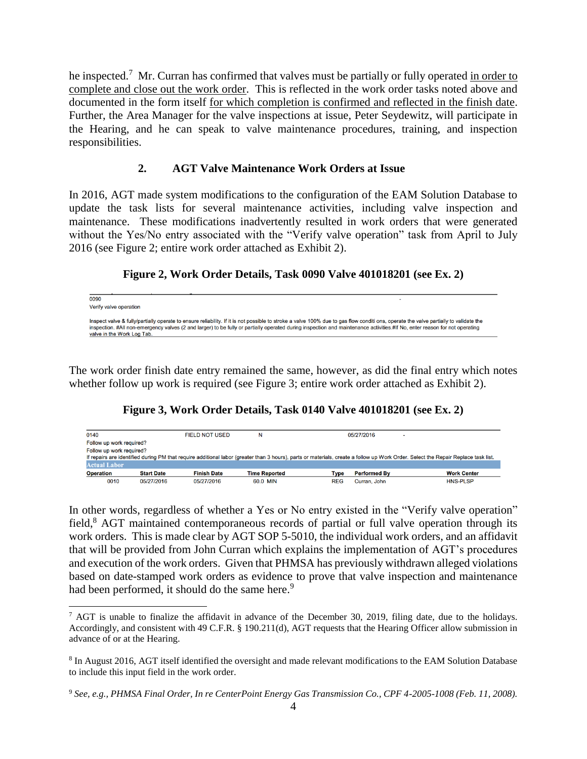he inspected.<sup>7</sup> Mr. Curran has confirmed that valves must be partially or fully operated in order to complete and close out the work order. This is reflected in the work order tasks noted above and documented in the form itself for which completion is confirmed and reflected in the finish date. Further, the Area Manager for the valve inspections at issue, Peter Seydewitz, will participate in the Hearing, and he can speak to valve maintenance procedures, training, and inspection responsibilities.

#### **2. AGT Valve Maintenance Work Orders at Issue**

In 2016, AGT made system modifications to the configuration of the EAM Solution Database to update the task lists for several maintenance activities, including valve inspection and maintenance. These modifications inadvertently resulted in work orders that were generated without the Yes/No entry associated with the "Verify valve operation" task from April to July 2016 (see Figure 2; entire work order attached as Exhibit 2).

#### **Figure 2, Work Order Details, Task 0090 Valve 401018201 (see Ex. 2)**

| 0090<br>Verify valve operation                                                                                                                                                                                                                                                                                                                                                                   |  |
|--------------------------------------------------------------------------------------------------------------------------------------------------------------------------------------------------------------------------------------------------------------------------------------------------------------------------------------------------------------------------------------------------|--|
| Inspect valve & fully/partially operate to ensure reliability. If it is not possible to stroke a valve 100% due to gas flow conditi ons, operate the valve partially to validate the<br>inspection. #All non-emergency valves (2 and larger) to be fully or partially operated during inspection and maintenance activities.#If No, enter reason for not operating<br>valve in the Work Log Tab. |  |

The work order finish date entry remained the same, however, as did the final entry which notes whether follow up work is required (see Figure 3; entire work order attached as Exhibit 2).

**Figure 3, Work Order Details, Task 0140 Valve 401018201 (see Ex. 2)**

| 0140                                                                                                                                                                              |                   | <b>FIELD NOT USED</b> | N                    |      | 05/27/2016          |                    |  |  |  |
|-----------------------------------------------------------------------------------------------------------------------------------------------------------------------------------|-------------------|-----------------------|----------------------|------|---------------------|--------------------|--|--|--|
| Follow up work required?                                                                                                                                                          |                   |                       |                      |      |                     |                    |  |  |  |
| Follow up work required?                                                                                                                                                          |                   |                       |                      |      |                     |                    |  |  |  |
| If repairs are identified during PM that require additional labor (greater than 3 hours), parts or materials, create a follow up Work Order. Select the Repair Replace task list. |                   |                       |                      |      |                     |                    |  |  |  |
| <b>Actual Labor</b>                                                                                                                                                               |                   |                       |                      |      |                     |                    |  |  |  |
| <b>Operation</b>                                                                                                                                                                  | <b>Start Date</b> | <b>Finish Date</b>    | <b>Time Reported</b> | Type | <b>Performed By</b> | <b>Work Center</b> |  |  |  |
| 0010                                                                                                                                                                              | 05/27/2016        | 05/27/2016            | 60.0 MIN             | REG  | Curran, John        | <b>HNS-PLSP</b>    |  |  |  |

In other words, regardless of whether a Yes or No entry existed in the "Verify valve operation" field,<sup>8</sup> AGT maintained contemporaneous records of partial or full valve operation through its work orders. This is made clear by AGT SOP 5-5010, the individual work orders, and an affidavit that will be provided from John Curran which explains the implementation of AGT's procedures and execution of the work orders. Given that PHMSA has previously withdrawn alleged violations based on date-stamped work orders as evidence to prove that valve inspection and maintenance had been performed, it should do the same here.<sup>9</sup>

l

 $7$  AGT is unable to finalize the affidavit in advance of the December 30, 2019, filing date, due to the holidays. Accordingly, and consistent with 49 C.F.R. § 190.211(d), AGT requests that the Hearing Officer allow submission in advance of or at the Hearing.

<sup>&</sup>lt;sup>8</sup> In August 2016, AGT itself identified the oversight and made relevant modifications to the EAM Solution Database to include this input field in the work order.

<sup>9</sup> *See, e.g., PHMSA Final Order, In re CenterPoint Energy Gas Transmission Co., CPF 4-2005-1008 (Feb. 11, 2008).*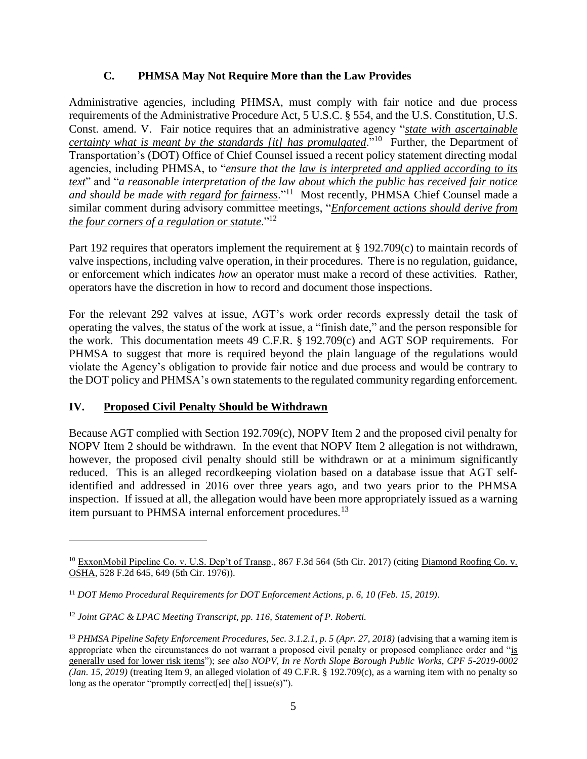### **C. PHMSA May Not Require More than the Law Provides**

Administrative agencies, including PHMSA, must comply with fair notice and due process requirements of the Administrative Procedure Act, 5 U.S.C. § 554, and the U.S. Constitution, U.S. Const. amend. V. Fair notice requires that an administrative agency "*state with ascertainable certainty what is meant by the standards [it] has promulgated*."<sup>10</sup> Further, the Department of Transportation's (DOT) Office of Chief Counsel issued a recent policy statement directing modal agencies, including PHMSA, to "*ensure that the law is interpreted and applied according to its text*" and "*a reasonable interpretation of the law about which the public has received fair notice and should be made with regard for fairness*."<sup>11</sup> Most recently, PHMSA Chief Counsel made a similar comment during advisory committee meetings, "*Enforcement actions should derive from the four corners of a regulation or statute*."<sup>12</sup>

Part 192 requires that operators implement the requirement at § 192.709(c) to maintain records of valve inspections, including valve operation, in their procedures. There is no regulation, guidance, or enforcement which indicates *how* an operator must make a record of these activities. Rather, operators have the discretion in how to record and document those inspections.

For the relevant 292 valves at issue, AGT's work order records expressly detail the task of operating the valves, the status of the work at issue, a "finish date," and the person responsible for the work. This documentation meets 49 C.F.R. § 192.709(c) and AGT SOP requirements. For PHMSA to suggest that more is required beyond the plain language of the regulations would violate the Agency's obligation to provide fair notice and due process and would be contrary to the DOT policy and PHMSA's own statements to the regulated community regarding enforcement.

# **IV. Proposed Civil Penalty Should be Withdrawn**

l

Because AGT complied with Section 192.709(c), NOPV Item 2 and the proposed civil penalty for NOPV Item 2 should be withdrawn. In the event that NOPV Item 2 allegation is not withdrawn, however, the proposed civil penalty should still be withdrawn or at a minimum significantly reduced. This is an alleged recordkeeping violation based on a database issue that AGT selfidentified and addressed in 2016 over three years ago, and two years prior to the PHMSA inspection. If issued at all, the allegation would have been more appropriately issued as a warning item pursuant to PHMSA internal enforcement procedures*.* 13

<sup>10</sup> ExxonMobil Pipeline Co. v. U.S. Dep't of Transp*.*, 867 F.3d 564 (5th Cir. 2017) (citing Diamond Roofing Co. v. OSHA, 528 F.2d 645, 649 (5th Cir. 1976)).

<sup>11</sup> *DOT Memo Procedural Requirements for DOT Enforcement Actions, p. 6, 10 (Feb. 15, 2019)*.

<sup>12</sup> *Joint GPAC & LPAC Meeting Transcript, pp. 116, Statement of P. Roberti.*

<sup>&</sup>lt;sup>13</sup> *PHMSA Pipeline Safety Enforcement Procedures, Sec. 3.1.2.1, p. 5 (Apr. 27, 2018)* (advising that a warning item is appropriate when the circumstances do not warrant a proposed civil penalty or proposed compliance order and "is generally used for lower risk items"); *see also NOPV, In re North Slope Borough Public Works, CPF 5-2019-0002 (Jan. 15, 2019)* (treating Item 9, an alleged violation of 49 C.F.R. § 192.709(c), as a warning item with no penalty so long as the operator "promptly correct[ed] the[] issue(s)").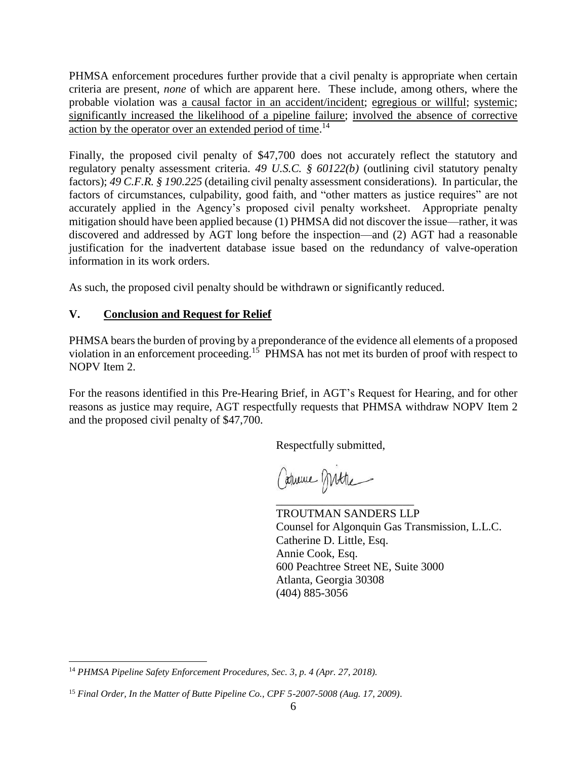PHMSA enforcement procedures further provide that a civil penalty is appropriate when certain criteria are present, *none* of which are apparent here. These include, among others, where the probable violation was a causal factor in an accident/incident; egregious or willful; systemic; significantly increased the likelihood of a pipeline failure; involved the absence of corrective action by the operator over an extended period of time.<sup>14</sup>

Finally, the proposed civil penalty of \$47,700 does not accurately reflect the statutory and regulatory penalty assessment criteria. *49 U.S.C. § 60122(b)* (outlining civil statutory penalty factors); *49 C.F.R. § 190.225* (detailing civil penalty assessment considerations). In particular, the factors of circumstances, culpability, good faith, and "other matters as justice requires" are not accurately applied in the Agency's proposed civil penalty worksheet. Appropriate penalty mitigation should have been applied because (1) PHMSA did not discover the issue—rather, it was discovered and addressed by AGT long before the inspection—and (2) AGT had a reasonable justification for the inadvertent database issue based on the redundancy of valve-operation information in its work orders.

As such, the proposed civil penalty should be withdrawn or significantly reduced.

# **V. Conclusion and Request for Relief**

PHMSA bears the burden of proving by a preponderance of the evidence all elements of a proposed violation in an enforcement proceeding.<sup>15</sup> PHMSA has not met its burden of proof with respect to NOPV Item 2.

For the reasons identified in this Pre-Hearing Brief, in AGT's Request for Hearing, and for other reasons as justice may require, AGT respectfully requests that PHMSA withdraw NOPV Item 2 and the proposed civil penalty of \$47,700.

Respectfully submitted,

Caturine Mitte

\_\_\_\_\_\_\_\_\_\_\_\_\_\_\_\_\_\_\_\_\_\_\_\_

TROUTMAN SANDERS LLP Counsel for Algonquin Gas Transmission, L.L.C. Catherine D. Little, Esq. Annie Cook, Esq. 600 Peachtree Street NE, Suite 3000 Atlanta, Georgia 30308 (404) 885-3056

 $\overline{a}$ <sup>14</sup> *PHMSA Pipeline Safety Enforcement Procedures, Sec. 3, p. 4 (Apr. 27, 2018).*

<sup>15</sup> *Final Order, In the Matter of Butte Pipeline Co., CPF 5-2007-5008 (Aug. 17, 2009)*.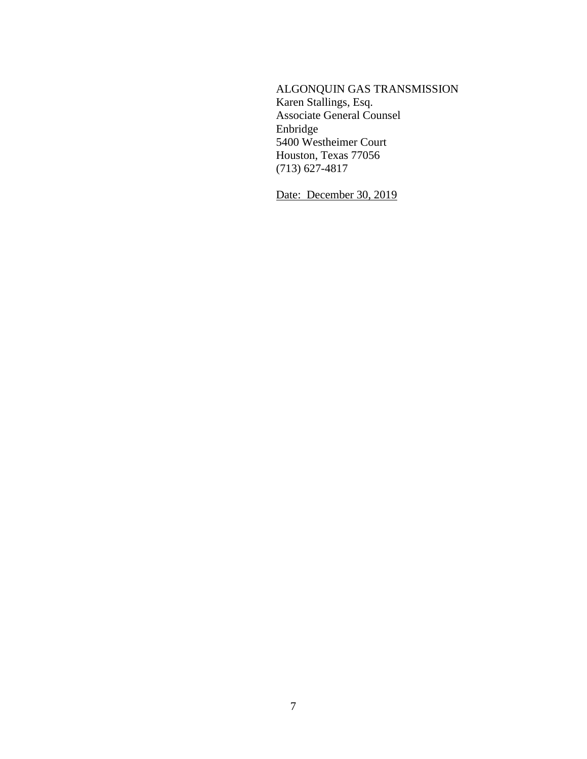# ALGONQUIN GAS TRANSMISSION

Karen Stallings, Esq. Associate General Counsel Enbridge 5400 Westheimer Court Houston, Texas 77056 (713) 627-4817

Date: December 30, 2019